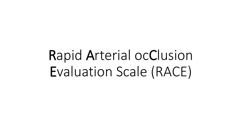# Rapid Arterial ocClusion Evaluation Scale (RACE)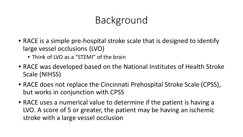# Background

- RACE is a simple pre-hospital stroke scale that is designed to identify large vessel occlusions (LVO)
	- Think of LVO as a "STEMI" of the brain
- RACE was developed based on the National Institutes of Health Stroke Scale (NIHSS)
- RACE does not replace the Cincinnati Prehospital Stroke Scale (CPSS), but works in conjunction with CPSS
- RACE uses a numerical value to determine if the patient is having a LVO. A score of 5 or greater, the patient may be having an ischemic stroke with a large vessel occlusion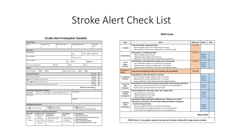#### Stroke Alert Check List

#### **RACE Exam**

#### **Date & Times** Date: Dispatch Time: EMS Arrival Time: EMS Departure Time: ED Arrival Time: **Basic Data** Patient Name: <br>
Age: Gender: Male Female Gender: Male Female Witness Name: Witness Phone #: Chief Complaint: BP: **Left arm** / **Right arm** / Last Time w/o Symptoms: Glucose: Pulse: Resp: **History** Severe Headache: Ves No Head Trauma at Onset: Ves No **Stroke Alert Criteria Yes No**  $\Box$  $\Box$ Time of Onset <6 hours?  $\Box$  $\Box$ **Any** abnormal findings on examination?  $\Box$  $\Box$ Deficit **not** likely due to head trauma?  $\boxed{1}$ Blood glucose >80 (if fingerstick possible) (see protocol)  $\Box$ **RACE Score from Page 2 Past History / Medications / Allergies Past History** Recent → Surgery □ Trauma □ MI □ Blood Thinners □ Other PMHx: Medications: Allergies: **Management Reminders** Do **NOT** treat Hypertension Do **NOT** allow aspiration Do **NOT** give glucose  $\rightarrow$  keep NPO, head 30° up  $\rightarrow$  unless glucose <80 and symptomatic **Stroke Specific Report to Emergency Department Basic Data Symptom Onset Neurological t-PA Exclusions Supplemental**  • Age • Last time w/o **Information Exam** • **Head trauma at onset** • Gender symptoms • Recent surgery, trauma, MI • Consciousness • **Seizures (shaking or staring spell) at onset** • Chief • Head trauma • Medications, allergies • Speech / language • **Taking blood thinners** Complaint • Severe Headache • BP, glucose • Visual fields • **History of bleeding problems** • Seizure – staring • Witness name, contact info • Motor strengths • **Brain hemorrhage (stiff neck, ↓ LOC)** or shaking

| Item                                                                                            | Exam                                                                                                                                                                                                                                                                                                                                                    | Abnormal? | <b>Points</b>                   | Race |
|-------------------------------------------------------------------------------------------------|---------------------------------------------------------------------------------------------------------------------------------------------------------------------------------------------------------------------------------------------------------------------------------------------------------------------------------------------------------|-----------|---------------------------------|------|
| 1. Speech                                                                                       | "You can't teach a dog new tricks"<br>Normal (speech with correct words and no slurring)<br>Abnormal (slurs words, says wrong words, or unable to speak)                                                                                                                                                                                                | Yes / No  |                                 |      |
| 2 Facial Palsy                                                                                  | Ask patient to smile/show teeth<br>Absent (slightly asymmetrical)<br>Mild facial palsy (slightly asymmetrical)<br>Moderate - severe facial palsy (completely asymmetrical)                                                                                                                                                                              | Yes / No  | 0 Points<br>1 Point<br>2 Points |      |
| 3. Arm<br><b>Motor</b><br><b>Function</b>                                                       | Ask Patient to raise both arms, palms up, for 10 seconds<br>No or mild drift of either arm (limb held $\geq 10$ seconds)<br>Moderate drift of either arm (limb held < 10 seconds)<br>Severe weakness of either arm (no movement against gravity)                                                                                                        | Yes / No  | 0 Points<br>1 Point<br>2 Points |      |
| Presence of<br><b>Stroke</b>                                                                    | Cincinnati Prehospital Stroke Score Positive (any yes above):                                                                                                                                                                                                                                                                                           | Yes / No  |                                 |      |
| 4. Leg Motor<br><b>Function</b>                                                                 | Ask patient to raise each leg for 5 seconds<br>No or mild drift of either leg (limb held $\geq$ 5 seconds)<br>Moderate drift of either leg (limb held < 5 seconds)<br>Severe weakness of either leg (no movement against gravity)                                                                                                                       |           | 0 Points<br>1 Point<br>2 Points |      |
| 5. Head and<br>Gaze<br><b>Deviation</b>                                                         | Ask patient to move head and eyes horizontally and assess gaze deviation<br>Absent (eye movements to both sides possible and no head deviation)<br>Present (eyes and head deviation to one side)                                                                                                                                                        |           | 0 Points<br>1 Point             |      |
| 6. Aphasia<br>(if right)<br>hemisphere)                                                         | Ask the patient to "close your eyes" and "make a fist"<br>Normal (performs both tasks)<br>Moderate (performs one task)<br>Severe (performs no tasks)                                                                                                                                                                                                    |           | 0 Points<br>1 Point<br>2 Points |      |
| 7. Agnosia<br>(if left<br>hemisphere)                                                           | Ask patient while showing the affected arm: "Whose arm is this?"<br>Ask patient to lift both arms and clap (evaluate if patient recognizes<br>functional impairment)<br>Normal (recognizes his/her arm and the impairment)<br>Moderate (does not recognize his/her arm or the impairment)<br>Severe (does not recognize his/her arm nor the impairment) |           | 0 Points<br>1 Point<br>2 Points |      |
| <b>Race Score</b>                                                                               |                                                                                                                                                                                                                                                                                                                                                         |           |                                 |      |
| If RACE Score = 5 or greater, patient may have an ischemic stroke with a large vessel occlusion |                                                                                                                                                                                                                                                                                                                                                         |           |                                 |      |

#### **Stroke Alert Prehospital Checklist**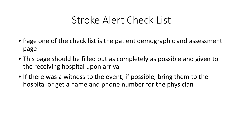#### Stroke Alert Check List

- Page one of the check list is the patient demographic and assessment page
- This page should be filled out as completely as possible and given to the receiving hospital upon arrival
- If there was a witness to the event, if possible, bring them to the hospital or get a name and phone number for the physician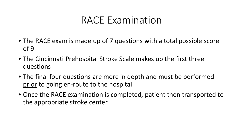#### RACE Examination

- The RACE exam is made up of 7 questions with a total possible score of 9
- The Cincinnati Prehospital Stroke Scale makes up the first three questions
- The final four questions are more in depth and must be performed prior to going en-route to the hospital
- Once the RACE examination is completed, patient then transported to the appropriate stroke center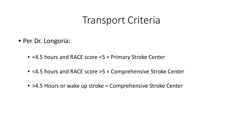#### Transport Criteria

- Per Dr. Longoria:
	- <4.5 hours and RACE score <5 = Primary Stroke Center
	- <4.5 hours and RACE score >5 = Comprehensive Stroke Center
	- > 4.5 Hours or wake up stroke = Comprehensive Stroke Center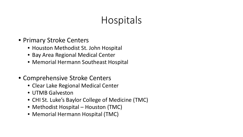# Hospitals

- Primary Stroke Centers
	- Houston Methodist St. John Hospital
	- Bay Area Regional Medical Center
	- Memorial Hermann Southeast Hospital
- Comprehensive Stroke Centers
	- Clear Lake Regional Medical Center
	- UTMB Galveston
	- CHI St. Luke's Baylor College of Medicine (TMC)
	- Methodist Hospital Houston (TMC)
	- Memorial Hermann Hospital (TMC)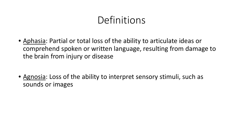### **Definitions**

- Aphasia: Partial or total loss of the ability to articulate ideas or comprehend spoken or written language, resulting from damage to the brain from injury or disease
- Agnosia: Loss of the ability to interpret sensory stimuli, such as sounds or images